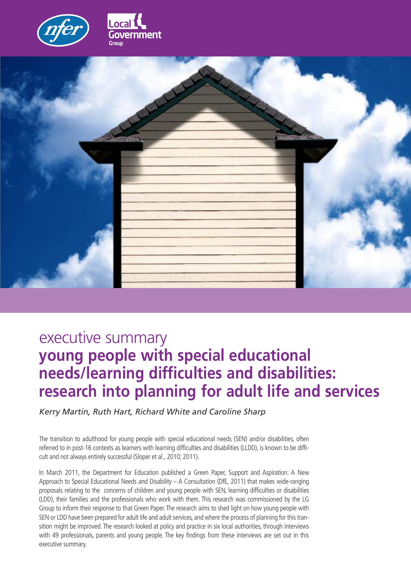



# executive summary **young people with special educational needs/learning difficulties and disabilities: research into planning for adult life and services**

*Kerry Martin, Ruth Hart, Richard White and Caroline Sharp*

The transition to adulthood for young people with special educational needs (SEN) and/or disabilities, often referred to in post-16 contexts as learners with learning difficulties and disabilities (LLDD), is known to be difficult and not always entirely successful (Sloper et al., 2010; 2011).

In March 2011, the Department for Education published a Green Paper, Support and Aspiration: A New Approach to Special Educational Needs and Disability – A Consultation (DfE, 2011) that makes wide-ranging proposals relating to the concerns of children and young people with SEN, learning difficulties or disabilities (LDD), their families and the professionals who work with them. This research was commissioned by the LG Group to inform their response to that Green Paper. The research aims to shed light on how young people with SEN or LDD have been prepared for adult life and adult services, and where the process of planning for this transition might be improved. The research looked at policy and practice in six local authorities, through interviews with 49 professionals, parents and young people. The key findings from these interviews are set out in this executive summary.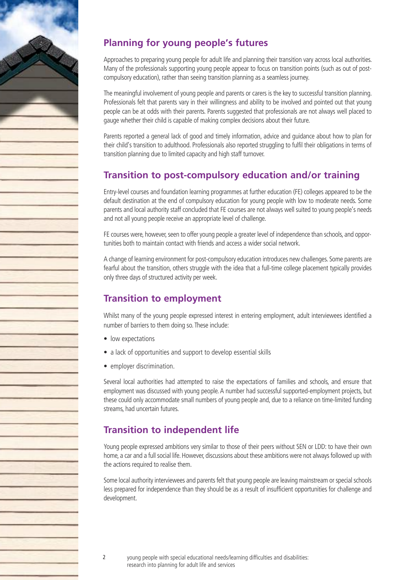

# **Planning for young people's futures**

Approaches to preparing young people for adult life and planning their transition vary across local authorities. Many of the professionals supporting young people appear to focus on transition points (such as out of postcompulsory education), rather than seeing transition planning as a seamless journey.

The meaningful involvement of young people and parents or carers is the key to successful transition planning. Professionals felt that parents vary in their willingness and ability to be involved and pointed out that young people can be at odds with their parents. Parents suggested that professionals are not always well placed to gauge whether their child is capable of making complex decisions about their future.

Parents reported a general lack of good and timely information, advice and guidance about how to plan for their child's transition to adulthood. Professionals also reported struggling to fulfil their obligations in terms of transition planning due to limited capacity and high staff turnover.

#### **Transition to post-compulsory education and/or training**

Entry-level courses and foundation learning programmes at further education (FE) colleges appeared to be the default destination at the end of compulsory education for young people with low to moderate needs. Some parents and local authority staff concluded that FE courses are not always well suited to young people's needs and not all young people receive an appropriate level of challenge.

FE courses were, however, seen to offer young people a greater level of independence than schools, and opportunities both to maintain contact with friends and access a wider social network.

A change of learning environment for post-compulsory education introduces new challenges. Some parents are fearful about the transition, others struggle with the idea that a full-time college placement typically provides only three days of structured activity per week.

#### **Transition to employment**

Whilst many of the young people expressed interest in entering employment, adult interviewees identified a number of barriers to them doing so. These include:

- low expectations
- a lack of opportunities and support to develop essential skills
- employer discrimination.

Several local authorities had attempted to raise the expectations of families and schools, and ensure that employment was discussed with young people.A number had successful supported-employment projects, but these could only accommodate small numbers of young people and, due to a reliance on time-limited funding streams, had uncertain futures.

### **Transition to independent life**

Young people expressed ambitions very similar to those of their peers without SEN or LDD: to have their own home, a car and a full social life. However, discussions about these ambitions were not always followed up with the actions required to realise them.

Some local authority interviewees and parents felt that young people are leaving mainstream or special schools less prepared for independence than they should be as a result of insufficient opportunities for challenge and development.

2 young people with special educational needs/learning difficulties and disabilities: research into planning for adult life and services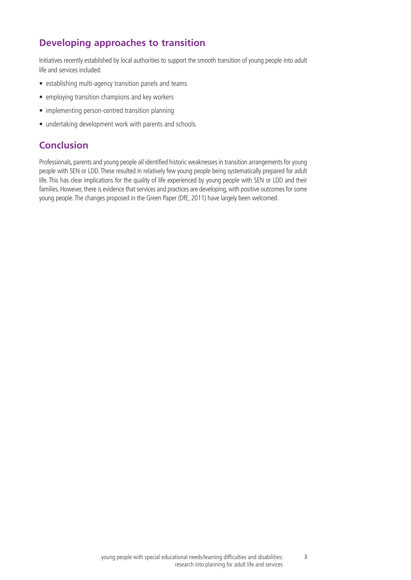## **Developing approaches to transition**

Initiatives recently established by local authorities to support the smooth transition of young people into adult life and services included:

- establishing multi-agency transition panels and teams
- employing transition champions and key workers
- implementing person-centred transition planning
- undertaking development work with parents and schools.

# **Conclusion**

Professionals, parents and young people all identified historic weaknesses in transition arrangements foryoung people with SEN or LDD. These resulted in relatively few young people being systematically prepared for adult life. This has clear implications for the quality of life experienced by young people with SEN or LDD and their families. However, there is evidence that services and practices are developing, with positive outcomes for some young people. The changes proposed in the Green Paper (DfE, 2011) have largely been welcomed.